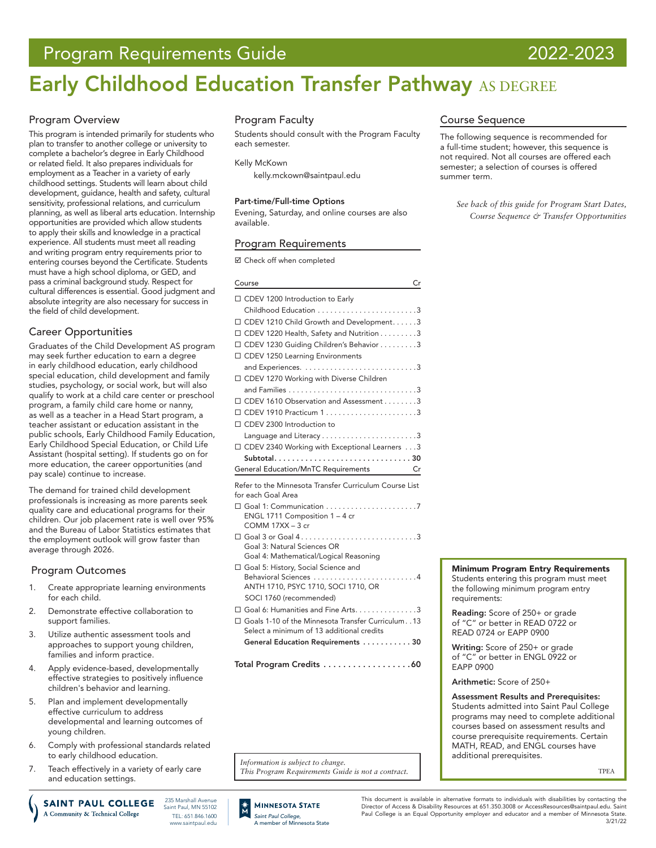# Program Requirements Guide 2022-2023

# Early Childhood Education Transfer Pathway AS DEGREE

# Program Overview

This program is intended primarily for students who plan to transfer to another college or university to complete a bachelor's degree in Early Childhood or related field. It also prepares individuals for employment as a Teacher in a variety of early childhood settings. Students will learn about child development, guidance, health and safety, cultural sensitivity, professional relations, and curriculum planning, as well as liberal arts education. Internship opportunities are provided which allow students to apply their skills and knowledge in a practical experience. All students must meet all reading and writing program entry requirements prior to entering courses beyond the Certificate. Students must have a high school diploma, or GED, and pass a criminal background study. Respect for cultural differences is essential. Good judgment and absolute integrity are also necessary for success in the field of child development.

# Career Opportunities

Graduates of the Child Development AS program may seek further education to earn a degree in early childhood education, early childhood special education, child development and family studies, psychology, or social work, but will also qualify to work at a child care center or preschool program, a family child care home or nanny, as well as a teacher in a Head Start program, a teacher assistant or education assistant in the public schools, Early Childhood Family Education, Early Childhood Special Education, or Child Life Assistant (hospital setting). If students go on for more education, the career opportunities (and pay scale) continue to increase.

The demand for trained child development professionals is increasing as more parents seek quality care and educational programs for their children. Our job placement rate is well over 95% and the Bureau of Labor Statistics estimates that the employment outlook will grow faster than average through 2026.

## Program Outcomes

- 1. Create appropriate learning environments for each child.
- 2. Demonstrate effective collaboration to support families.
- 3. Utilize authentic assessment tools and approaches to support young children, families and inform practice.
- 4. Apply evidence-based, developmentally effective strategies to positively influence children's behavior and learning.
- 5. Plan and implement developmentally effective curriculum to address developmental and learning outcomes of young children.
- 6. Comply with professional standards related to early childhood education.
- 7. Teach effectively in a variety of early care and education settings.

235 Marshall Avenuel **SAINT PAUL COLLEGE** Saint Paul, MN 55102 A Community & Technical College TEL: 651.846.1600 www.saintpaul.edu

# Program Faculty

Students should consult with the Program Faculty each semester.

Kelly McKown [kelly.mckown@saintpaul.edu](mailto:kelly.mckown%40saintpaul.edu?subject=)

### Part-time/Full-time Options

Evening, Saturday, and online courses are also available.

# Program Requirements

■ Check off when completed

| Course<br>Cr                                            |  |
|---------------------------------------------------------|--|
| □ CDEV 1200 Introduction to Early                       |  |
|                                                         |  |
| □ CDEV 1210 Child Growth and Development3               |  |
| $\Box$ CDEV 1220 Health, Safety and Nutrition 3         |  |
| □ CDEV 1230 Guiding Children's Behavior 3               |  |
| □ CDEV 1250 Learning Environments                       |  |
|                                                         |  |
| □ CDEV 1270 Working with Diverse Children               |  |
|                                                         |  |
| □ CDEV 1610 Observation and Assessment 3                |  |
| □ CDEV 1910 Practicum 13                                |  |
| □ CDEV 2300 Introduction to                             |  |
|                                                         |  |
| □ CDEV 2340 Working with Exceptional Learners 3         |  |
| Subtotal30                                              |  |
| General Education/MnTC Requirements Cr                  |  |
| Refer to the Minnesota Transfer Curriculum Course List  |  |
| for each Goal Area                                      |  |
|                                                         |  |
| ENGL 1711 Composition 1 - 4 cr<br>COMM 17XX - 3 cr      |  |
| $\Box$ Goal 3 or Goal 43                                |  |
| Goal 3: Natural Sciences OR                             |  |
| Goal 4: Mathematical/Logical Reasoning                  |  |
| Goal 5: History, Social Science and                     |  |
| Behavioral Sciences<br>. 4                              |  |
| ANTH 1710, PSYC 1710, SOCI 1710, OR                     |  |
| SOCI 1760 (recommended)                                 |  |
| □ Goal 6: Humanities and Fine Arts. 3                   |  |
| □ Goals 1-10 of the Minnesota Transfer Curriculum. . 13 |  |
| Select a minimum of 13 additional credits               |  |
| General Education Requirements  30                      |  |
| Total Program Credits 60                                |  |

*Information is subject to change. This Program Requirements Guide is not a contract.*

# Course Sequence

The following sequence is recommended for a full-time student; however, this sequence is not required. Not all courses are offered each semester; a selection of courses is offered summer term.

*See back of this guide for Program Start Dates, Course Sequence & Transfer Opportunities*

### Minimum Program Entry Requirements

Students entering this program must meet the following minimum program entry requirements:

Reading: Score of 250+ or grade of "C" or better in READ 0722 or READ 0724 or EAPP 0900

Writing: Score of 250+ or grade of "C" or better in ENGL 0922 or EAPP 0900

Arithmetic: Score of 250+

Assessment Results and Prerequisites: Students admitted into Saint Paul College programs may need to complete additional courses based on assessment results and course prerequisite requirements. Certain MATH, READ, and ENGL courses have additional prerequisites.

TPEA

**MINNESOTA STATE** *Saint Paul College,* A member of Minnesota State

This document is available in alternative formats to individuals with disabilities by contacting the Director of Access & Disability Resources at 651.350.3008 or AccessResources@saintpaul.edu. Saint Paul College is an Equal Opportunity employer and educator and a member of Minnesota State. 3/21/22